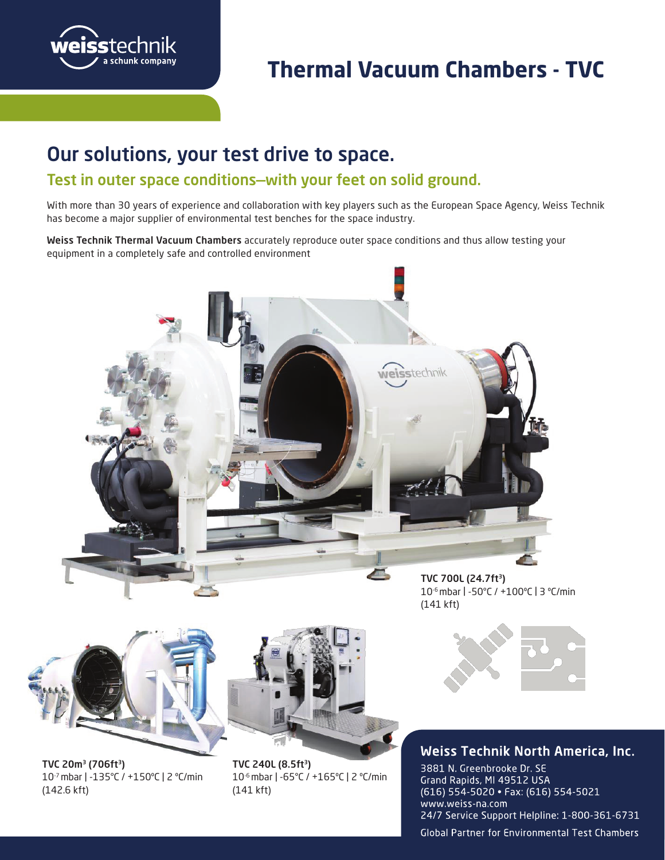

# **Thermal Vacuum Chambers - TVC**

## **Our solutions, your test drive to space.** Our solutions, your test drive to space.

### **Test in outer space conditions—with your feet on solid ground.** Test in outer space conditions—with your feet on solid ground.

With more than 30 years of experience and collaboration with key players such as the European Space Agency, Weiss Technik has become a major supplier of environmental test benches for the space industry.

Weiss Technik Thermal Vacuum Chambers accurately reproduce outer space conditions and thus allow testing your equipment in a completely safe and controlled environment



10-6 mbar | -50°C / +100ºC | 3 ºC/min (141 kft)

**Weiss Technik France**



TVC 20m<sup>3</sup> (706ft<sup>3</sup>) 10-7 mbar | -135°C / +150ºC | 2 ºC/min (142.6 kft)



TVC 240L (8.5ft<sup>3</sup>) 10-6 mbar | -65°C / +165ºC | 2 ºC/min (141 kft)



#### **Weiss Technik North America, Inc.**

3881 N. Greenbrooke Dr. SE Grand Rapids, MI 49512 USA (616) 554-5020 · Fax: (616) 554-5021 www.weiss-na.com 24/7 Service Support Helpline: 1-800-361-6731

**Global Partner for Environmental Test Chambers**